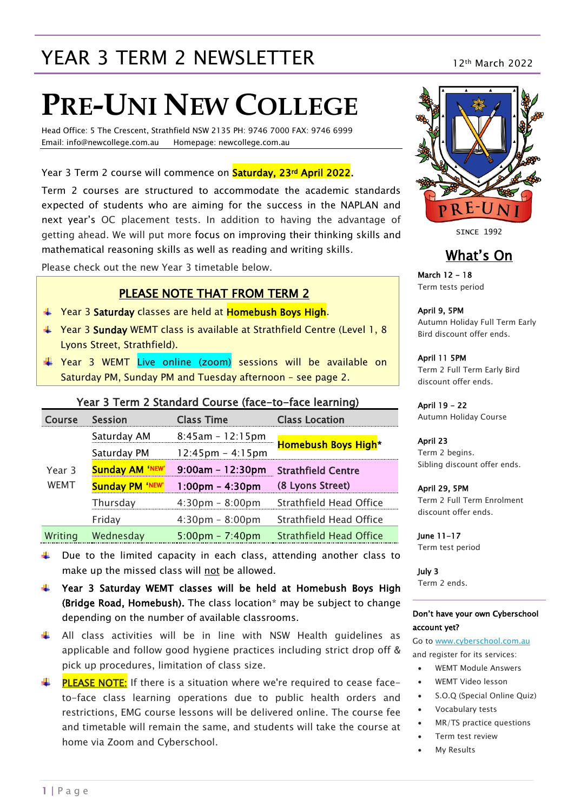## YEAR 3 TERM 2 NEWSLETTER 12th March 2022

# **PRE-UNI NEW COLLEGE**

Head Office: 5 The Crescent, Strathfield NSW 2135 PH: 9746 7000 FAX: 9746 6999 Email: info@newcollege.com.au Homepage: newcollege.com.au

Year 3 Term 2 course will commence on **Saturday, 23rd April 2022**.

Term 2 courses are structured to accommodate the academic standards expected of students who are aiming for the success in the NAPLAN and next year's OC placement tests. In addition to having the advantage of getting ahead. We will put more focus on improving their thinking skills and mathematical reasoning skills as well as reading and writing skills.

Please check out the new Year 3 timetable below.

#### PLEASE NOTE THAT FROM TERM 2

- Year 3 Saturday classes are held at Homebush Boys High.
- Year 3 Sunday WEMT class is available at Strathfield Centre (Level 1, 8 Lyons Street, Strathfield).
- Year 3 WEMT Live online (zoom) sessions will be available on Saturday PM, Sunday PM and Tuesday afternoon – see page 2.

#### Year 3 Term 2 Standard Course (face-to-face learning)

| Course      | Session                | <b>Class Time</b>                  | <b>Class Location</b>          |  |
|-------------|------------------------|------------------------------------|--------------------------------|--|
|             | Saturday AM            | $8:45am - 12:15pm$                 | <b>Homebush Boys High*</b>     |  |
|             | Saturday PM            | $12:45 \text{pm} - 4:15 \text{pm}$ |                                |  |
| Year 3      | <b>Sunday AM 'NEW'</b> | $9:00am - 12:30pm$                 | <b>Strathfield Centre</b>      |  |
| <b>WEMT</b> | <b>Sunday PM 'NEW'</b> | $1:00$ pm – 4:30pm                 | (8 Lyons Street)               |  |
|             | Thursday               | $4:30 \text{pm} - 8:00 \text{pm}$  | Strathfield Head Office        |  |
|             | Friday                 | $4:30 \text{pm} - 8:00 \text{pm}$  | Strathfield Head Office        |  |
| Writing     | Wednesday              | $5:00 \text{pm} - 7:40 \text{pm}$  | <b>Strathfield Head Office</b> |  |

- $\downarrow$  Due to the limited capacity in each class, attending another class to make up the missed class will not be allowed.
- $\uparrow$  Year 3 Saturday WEMT classes will be held at Homebush Boys High (Bridge Road, Homebush). The class location\* may be subject to change depending on the number of available classrooms.
- $\uparrow$  All class activities will be in line with NSW Health quidelines as applicable and follow good hygiene practices including strict drop off & pick up procedures, limitation of class size.
- **PLEASE NOTE:** If there is a situation where we're required to cease face-₩. to-face class learning operations due to public health orders and restrictions, EMG course lessons will be delivered online. The course fee and timetable will remain the same, and students will take the course at home via Zoom and Cyberschool.



SINCE 1992

#### What's On

March 12 - 18 Term tests period

April 9, 5PM Autumn Holiday Full Term Early Bird discount offer ends.

April 11 5PM Term 2 Full Term Early Bird discount offer ends.

April 19 - 22 Autumn Holiday Course

April 23 Term 2 begins. Sibling discount offer ends.

April 29, 5PM Term 2 Full Term Enrolment discount offer ends.

June 11-17 Term test period

July 3 Term 2 ends.

#### Don't have your own Cyberschool account yet?

Go t[o www.cyberschool.com.au](http://www.cyberschool.com.au/) and register for its services:

- WEMT Module Answers
- WEMT Video lesson
- S.O.Q (Special Online Quiz)
- Vocabulary tests
	- MR/TS practice questions
	- Term test review
	- My Results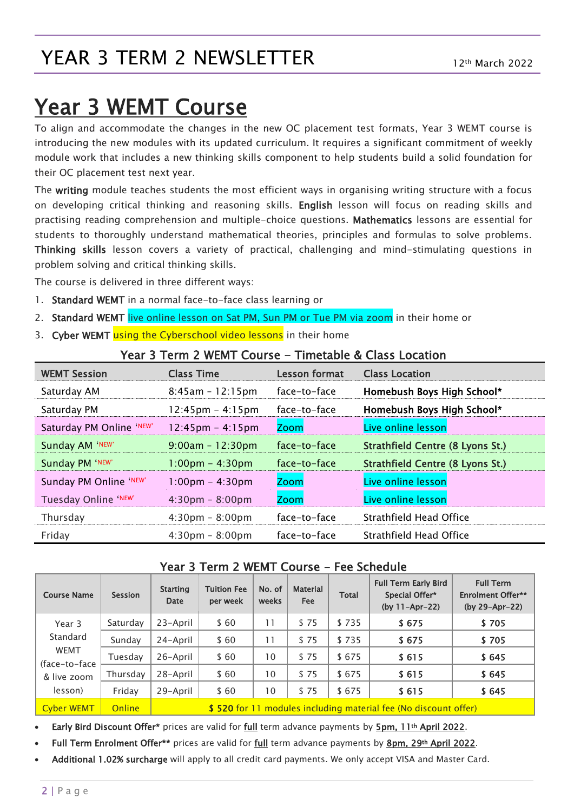## YEAR 3 TERM 2 NEWSLETTER

## Year 3 WEMT Course

To align and accommodate the changes in the new OC placement test formats, Year 3 WEMT course is introducing the new modules with its updated curriculum. It requires a significant commitment of weekly module work that includes a new thinking skills component to help students build a solid foundation for their OC placement test next year.

The writing module teaches students the most efficient ways in organising writing structure with a focus on developing critical thinking and reasoning skills. English lesson will focus on reading skills and practising reading comprehension and multiple-choice questions. Mathematics lessons are essential for students to thoroughly understand mathematical theories, principles and formulas to solve problems. Thinking skills lesson covers a variety of practical, challenging and mind-stimulating questions in problem solving and critical thinking skills.

The course is delivered in three different ways:

- 1. Standard WEMT in a normal face-to-face class learning or
- 2. Standard WEMT live online lesson on Sat PM, Sun PM or Tue PM via zoom in their home or
- 3. Cyber WEMT using the Cyberschool video lessons in their home

#### Year 3 Term 2 WEMT Course - Timetable & Class Location

| <b>WEMT Session</b>      | <b>Class Time</b>                  | <b>Lesson format</b> | <b>Class Location</b>            |
|--------------------------|------------------------------------|----------------------|----------------------------------|
| Saturday AM              | $8:45am - 12:15pm$                 | face-to-face         | Homebush Boys High School*       |
| Saturday PM              | $12:45 \text{pm} - 4:15 \text{pm}$ | face-to-face         | Homebush Boys High School*       |
| Saturday PM Online 'NEW' | $12:45 \text{pm} - 4:15 \text{pm}$ | Zoom                 | Live online lesson               |
| Sunday AM 'NEW'          | $9:00am - 12:30pm$                 | face-to-face         | Strathfield Centre (8 Lyons St.) |
| Sunday PM 'NEW'          | $1:00 \text{pm} - 4:30 \text{pm}$  | face-to-face         | Strathfield Centre (8 Lyons St.) |
| Sunday PM Online 'NEW'   | $1:00 \text{pm} - 4:30 \text{pm}$  | <b>Zoom</b>          | Live online lesson               |
| Tuesday Online 'NEW'     | $4:30 \text{pm} - 8:00 \text{pm}$  | <b>Zoom</b>          | Live online lesson               |
| Thursday                 | $4:30 \text{pm} - 8:00 \text{pm}$  | face-to-face         | Strathfield Head Office          |
| Friday                   | $4:30 \text{pm} - 8:00 \text{pm}$  | face-to-face         | Strathfield Head Office          |

#### Year 3 Term 2 WEMT Course - Fee Schedule

| <b>Course Name</b>                                                            | <b>Session</b> | <b>Starting</b><br><b>Date</b>                                  | <b>Tuition Fee</b><br>per week | No. of<br>weeks | <b>Material</b><br><b>Fee</b> | <b>Total</b> | <b>Full Term Early Bird</b><br>Special Offer*<br>$(by 11-Apr-22)$ | <b>Full Term</b><br><b>Enrolment Offer**</b><br>(by 29-Apr-22) |
|-------------------------------------------------------------------------------|----------------|-----------------------------------------------------------------|--------------------------------|-----------------|-------------------------------|--------------|-------------------------------------------------------------------|----------------------------------------------------------------|
| Year 3<br>Standard<br><b>WEMT</b><br>(face-to-face)<br>& live zoom<br>lesson) | Saturday       | 23-April                                                        | \$60                           | 11              | \$75                          | \$735        | \$675                                                             | \$705                                                          |
|                                                                               | Sunday         | 24-April                                                        | \$60                           | 11              | \$75                          | \$735        | \$675                                                             | \$705                                                          |
|                                                                               | Tuesday        | 26-April                                                        | \$60                           | 10              | \$75                          | \$675        | \$615                                                             | \$645                                                          |
|                                                                               | Thursday       | 28-April                                                        | \$60                           | 10              | \$75                          | \$675        | \$615                                                             | \$645                                                          |
|                                                                               | Friday         | 29-April                                                        | \$60                           | 10              | \$75                          | \$675        | \$615                                                             | \$645                                                          |
| <b>Cyber WEMT</b>                                                             | <b>Online</b>  | \$520 for 11 modules including material fee (No discount offer) |                                |                 |                               |              |                                                                   |                                                                |

Early Bird Discount Offer\* prices are valid for full term advance payments by 5pm, 11th April 2022.

Full Term Enrolment Offer\*\* prices are valid for full term advance payments by 8pm, 29th April 2022.

Additional 1.02% surcharge will apply to all credit card payments. We only accept VISA and Master Card.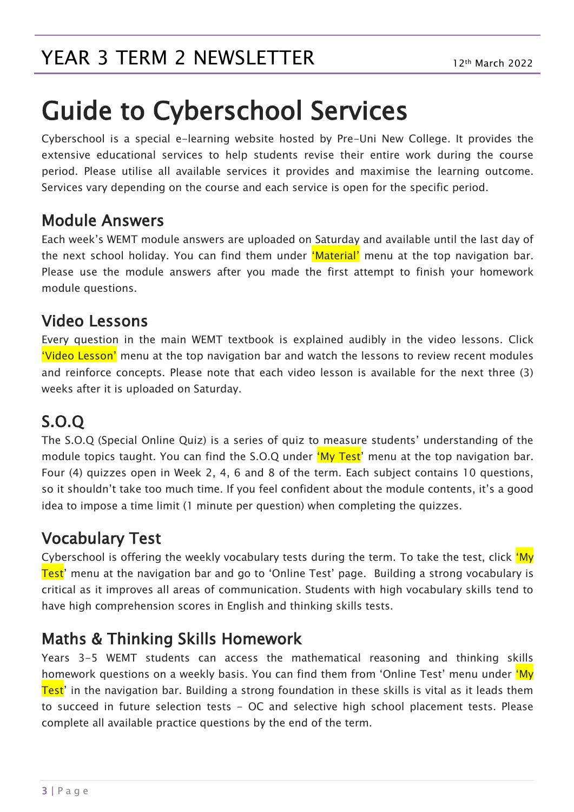# Guide to Cyberschool Services

Cyberschool is a special e-learning website hosted by Pre-Uni New College. It provides the extensive educational services to help students revise their entire work during the course period. Please utilise all available services it provides and maximise the learning outcome. Services vary depending on the course and each service is open for the specific period.

#### Module Answers

Each week's WEMT module answers are uploaded on Saturday and available until the last day of the next school holiday. You can find them under 'Material' menu at the top navigation bar. Please use the module answers after you made the first attempt to finish your homework module questions.

#### Video Lessons

Every question in the main WEMT textbook is explained audibly in the video lessons. Click 'Video Lesson' menu at the top navigation bar and watch the lessons to review recent modules and reinforce concepts. Please note that each video lesson is available for the next three (3) weeks after it is uploaded on Saturday.

## S.O.Q

The S.O.Q (Special Online Quiz) is a series of quiz to measure students' understanding of the module topics taught. You can find the S.O.Q under 'My Test' menu at the top navigation bar. Four (4) quizzes open in Week 2, 4, 6 and 8 of the term. Each subject contains 10 questions, so it shouldn't take too much time. If you feel confident about the module contents, it's a good idea to impose a time limit (1 minute per question) when completing the quizzes.

## Vocabulary Test

Cyberschool is offering the weekly vocabulary tests during the term. To take the test, click 'My Test' menu at the navigation bar and go to 'Online Test' page. Building a strong vocabulary is critical as it improves all areas of communication. Students with high vocabulary skills tend to have high comprehension scores in English and thinking skills tests.

### Maths & Thinking Skills Homework

Years 3-5 WEMT students can access the mathematical reasoning and thinking skills homework questions on a weekly basis. You can find them from 'Online Test' menu under 'My Test' in the navigation bar. Building a strong foundation in these skills is vital as it leads them to succeed in future selection tests - OC and selective high school placement tests. Please complete all available practice questions by the end of the term.